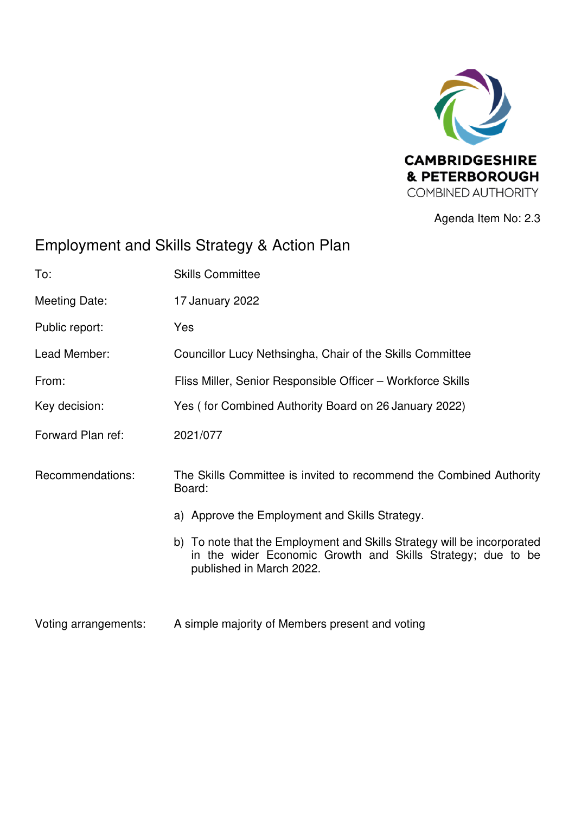

Agenda Item No: 2.3

# Employment and Skills Strategy & Action Plan

| To:                  | <b>Skills Committee</b>                                                                                                                                            |
|----------------------|--------------------------------------------------------------------------------------------------------------------------------------------------------------------|
| Meeting Date:        | 17 January 2022                                                                                                                                                    |
| Public report:       | Yes                                                                                                                                                                |
| Lead Member:         | Councillor Lucy Nethsingha, Chair of the Skills Committee                                                                                                          |
| From:                | Fliss Miller, Senior Responsible Officer - Workforce Skills                                                                                                        |
| Key decision:        | Yes (for Combined Authority Board on 26 January 2022)                                                                                                              |
| Forward Plan ref:    | 2021/077                                                                                                                                                           |
| Recommendations:     | The Skills Committee is invited to recommend the Combined Authority<br>Board:                                                                                      |
|                      | a) Approve the Employment and Skills Strategy.                                                                                                                     |
|                      | b) To note that the Employment and Skills Strategy will be incorporated<br>in the wider Economic Growth and Skills Strategy; due to be<br>published in March 2022. |
| Voting arrangements: | A simple majority of Members present and voting                                                                                                                    |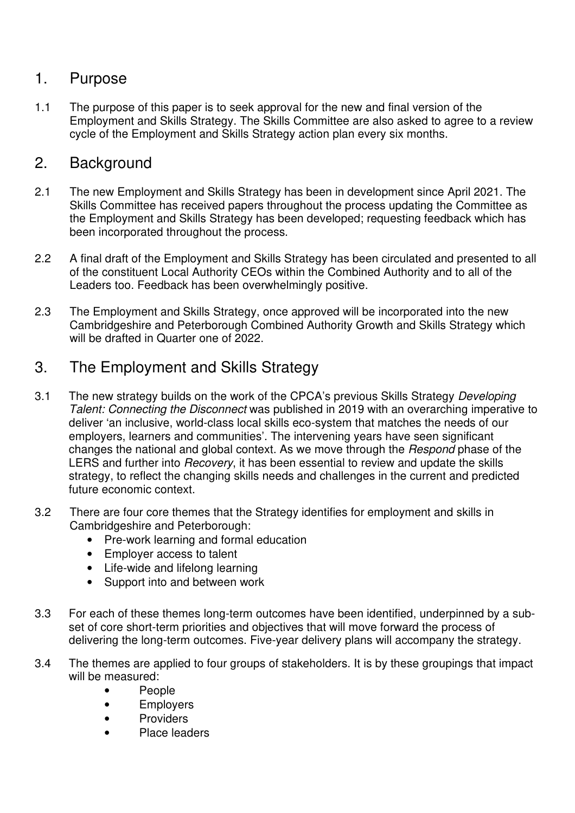#### 1. Purpose

1.1 The purpose of this paper is to seek approval for the new and final version of the Employment and Skills Strategy. The Skills Committee are also asked to agree to a review cycle of the Employment and Skills Strategy action plan every six months.

### 2. Background

- 2.1 The new Employment and Skills Strategy has been in development since April 2021. The Skills Committee has received papers throughout the process updating the Committee as the Employment and Skills Strategy has been developed; requesting feedback which has been incorporated throughout the process.
- 2.2 A final draft of the Employment and Skills Strategy has been circulated and presented to all of the constituent Local Authority CEOs within the Combined Authority and to all of the Leaders too. Feedback has been overwhelmingly positive.
- 2.3 The Employment and Skills Strategy, once approved will be incorporated into the new Cambridgeshire and Peterborough Combined Authority Growth and Skills Strategy which will be drafted in Quarter one of 2022.

# 3. The Employment and Skills Strategy

- 3.1 The new strategy builds on the work of the CPCA's previous Skills Strategy Developing Talent: Connecting the Disconnect was published in 2019 with an overarching imperative to deliver 'an inclusive, world-class local skills eco-system that matches the needs of our employers, learners and communities'. The intervening years have seen significant changes the national and global context. As we move through the Respond phase of the LERS and further into Recovery, it has been essential to review and update the skills strategy, to reflect the changing skills needs and challenges in the current and predicted future economic context.
- 3.2 There are four core themes that the Strategy identifies for employment and skills in Cambridgeshire and Peterborough:
	- Pre-work learning and formal education
	- Employer access to talent
	- Life-wide and lifelong learning
	- Support into and between work
- 3.3 For each of these themes long-term outcomes have been identified, underpinned by a subset of core short-term priorities and objectives that will move forward the process of delivering the long-term outcomes. Five-year delivery plans will accompany the strategy.
- 3.4 The themes are applied to four groups of stakeholders. It is by these groupings that impact will be measured:
	- People
	- Employers
	- Providers
	- Place leaders